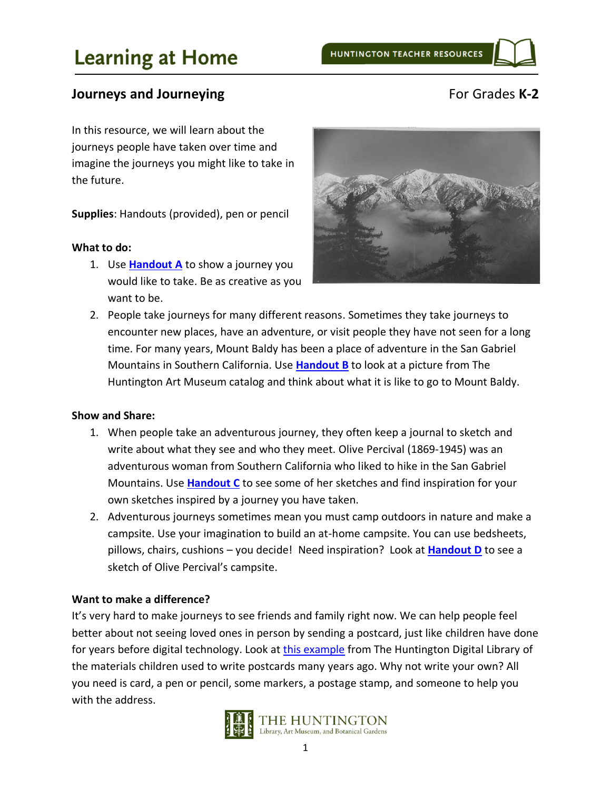## **Journeys and Journeying** The Contract of Grades **K-2**

In this resource, we will learn about the journeys people have taken over time and imagine the journeys you might like to take in the future.

**Supplies**: Handouts (provided), pen or pencil

#### **What to do:**

1. Use **[Handout](#page-2-0) A** to show a journey you would like to take. Be as creative as you want to be.



2. People take journeys for many different reasons. Sometimes they take journeys to encounter new places, have an adventure, or visit people they have not seen for a long time. For many years, Mount Baldy has been a place of adventure in the San Gabriel Mountains in Southern California. Use **[Handout B](#page-3-0)** to look at a picture from The Huntington Art Museum catalog and think about what it is like to go to Mount Baldy.

#### **Show and Share:**

- 1. When people take an adventurous journey, they often keep a journal to sketch and write about what they see and who they meet. Olive Percival (1869-1945) was an adventurous woman from Southern California who liked to hike in the San Gabriel Mountains. Use **[Handout C](#page-4-0)** to see some of her sketches and find inspiration for your own sketches inspired by a journey you have taken.
- 2. Adventurous journeys sometimes mean you must camp outdoors in nature and make a campsite. Use your imagination to build an at-home campsite. You can use bedsheets, pillows, chairs, cushions – you decide! Need inspiration? Look at **[Handout D](#page-6-0)** to see a sketch of Olive Percival's campsite.

#### **Want to make a difference?**

It's very hard to make journeys to see friends and family right now. We can help people feel better about not seeing loved ones in person by sending a postcard, just like children have done for years before digital technology. Look a[t this example](https://hdl.huntington.org/digital/collection/p9539coll1/id/6958) from The Huntington Digital Library of the materials children used to write postcards many years ago. Why not write your own? All you need is card, a pen or pencil, some markers, a postage stamp, and someone to help you with the address.

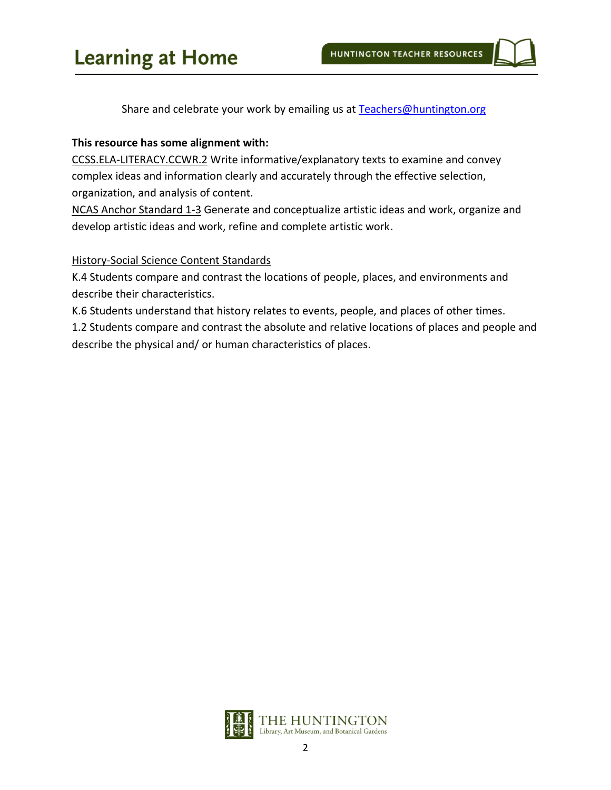Share and celebrate your work by emailing us at [Teachers@huntington.org](mailto:teachers@huntington.org)

## **This resource has some alignment with:**

CCSS.ELA-LITERACY.CCWR.2 Write informative/explanatory texts to examine and convey complex ideas and information clearly and accurately through the effective selection, organization, and analysis of content.

NCAS Anchor Standard 1-3 Generate and conceptualize artistic ideas and work, organize and develop artistic ideas and work, refine and complete artistic work.

## History-Social Science Content Standards

K.4 Students compare and contrast the locations of people, places, and environments and describe their characteristics.

K.6 Students understand that history relates to events, people, and places of other times.

1.2 Students compare and contrast the absolute and relative locations of places and people and describe the physical and/ or human characteristics of places.

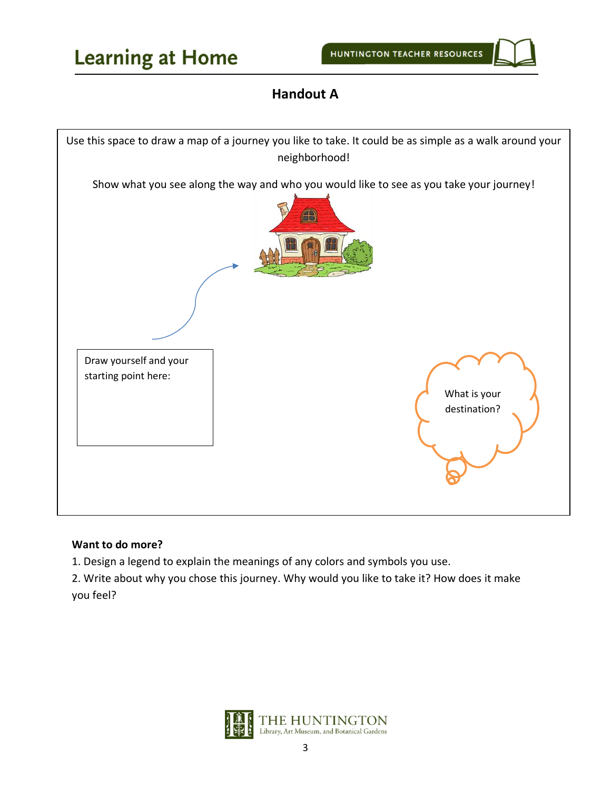# **Handout A**

<span id="page-2-0"></span>

## **Want to do more?**

1. Design a legend to explain the meanings of any colors and symbols you use.

2. Write about why you chose this journey. Why would you like to take it? How does it make you feel?

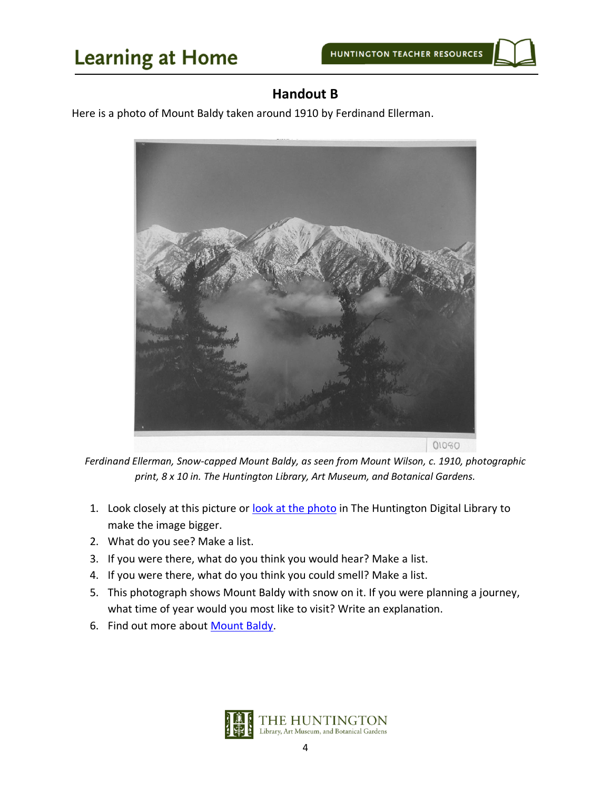

## **Handout B**

<span id="page-3-0"></span>Here is a photo of Mount Baldy taken around 1910 by Ferdinand Ellerman.



*Ferdinand Ellerman, Snow-capped Mount Baldy, as seen from Mount Wilson, c. 1910, photographic print, 8 x 10 in. The Huntington Library, Art Museum, and Botanical Gardens.*

- 1. Look closely at this picture or [look at the photo](https://hdl.huntington.org/digital/collection/p15150coll2/id/360/rec/1) in The Huntington Digital Library to make the image bigger.
- 2. What do you see? Make a list.
- 3. If you were there, what do you think you would hear? Make a list.
- 4. If you were there, what do you think you could smell? Make a list.
- 5. This photograph shows Mount Baldy with snow on it. If you were planning a journey, what time of year would you most like to visit? Write an explanation.
- 6. Find out more about [Mount Baldy.](https://en.wikipedia.org/wiki/Mount_Baldy,_California)

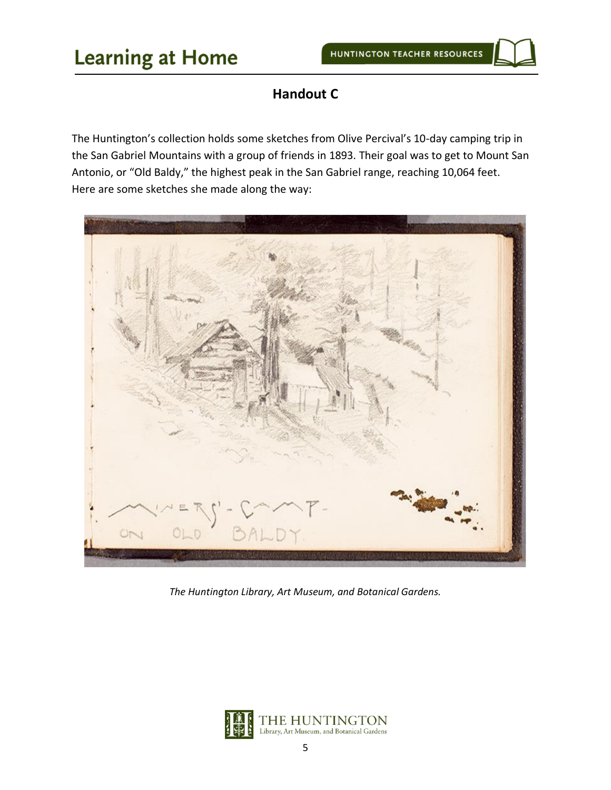# **Handout C**

<span id="page-4-0"></span>The Huntington's collection holds some sketches from Olive Percival's 10-day camping trip in the San Gabriel Mountains with a group of friends in 1893. Their goal was to get to Mount San Antonio, or "Old Baldy," the highest peak in the San Gabriel range, reaching 10,064 feet. Here are some sketches she made along the way:



*The Huntington Library, Art Museum, and Botanical Gardens.*

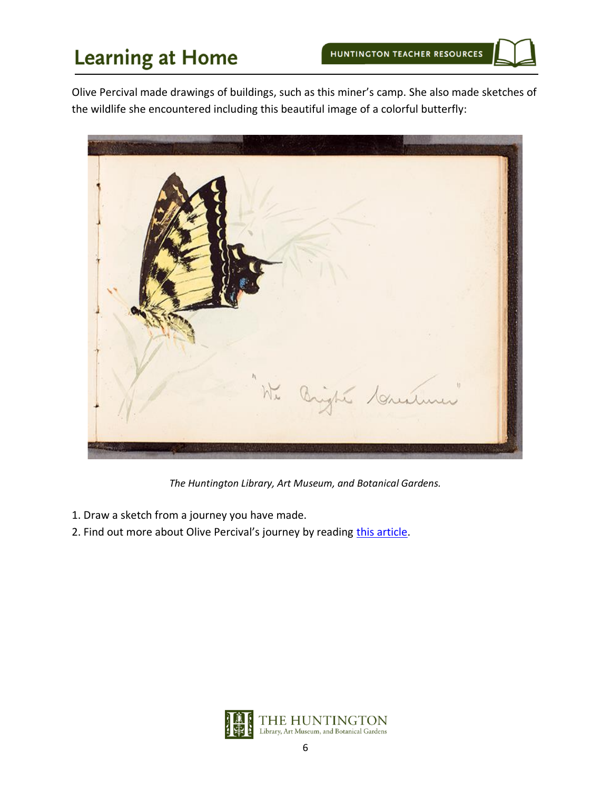Olive Percival made drawings of buildings, such as this miner's camp. She also made sketches of the wildlife she encountered including this beautiful image of a colorful butterfly:



*The Huntington Library, Art Museum, and Botanical Gardens.*

- 1. Draw a sketch from a journey you have made.
- 2. Find out more about Olive Percival's journey by reading [this article.](https://www.huntington.org/verso/2018/08/ascending-old-baldy)